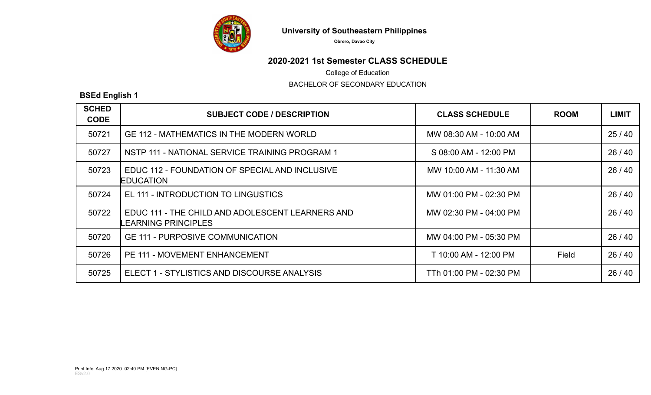

**Obrero, Davao City**

# **2020-2021 1st Semester CLASS SCHEDULE**

College of Education

BACHELOR OF SECONDARY EDUCATION

# **BSEd English 1**

| <b>SCHED</b><br><b>CODE</b> | <b>SUBJECT CODE / DESCRIPTION</b>                                      | <b>CLASS SCHEDULE</b>   | <b>ROOM</b> | <b>LIMIT</b> |
|-----------------------------|------------------------------------------------------------------------|-------------------------|-------------|--------------|
| 50721                       | <b>GE 112 - MATHEMATICS IN THE MODERN WORLD</b>                        | MW 08:30 AM - 10:00 AM  |             | 25/40        |
| 50727                       | NSTP 111 - NATIONAL SERVICE TRAINING PROGRAM 1                         | S 08:00 AM - 12:00 PM   |             | 26 / 40      |
| 50723                       | EDUC 112 - FOUNDATION OF SPECIAL AND INCLUSIVE<br><b>EDUCATION</b>     | MW 10:00 AM - 11:30 AM  |             | 26/40        |
| 50724                       | EL 111 - INTRODUCTION TO LINGUSTICS                                    | MW 01:00 PM - 02:30 PM  |             | 26/40        |
| 50722                       | EDUC 111 - THE CHILD AND ADOLESCENT LEARNERS AND<br>EARNING PRINCIPLES | MW 02:30 PM - 04:00 PM  |             | 26/40        |
| 50720                       | <b>GE 111 - PURPOSIVE COMMUNICATION</b>                                | MW 04:00 PM - 05:30 PM  |             | 26/40        |
| 50726                       | PE 111 - MOVEMENT ENHANCEMENT                                          | T 10:00 AM - 12:00 PM   | Field       | 26/40        |
| 50725                       | ELECT 1 - STYLISTICS AND DISCOURSE ANALYSIS                            | TTh 01:00 PM - 02:30 PM |             | 26/40        |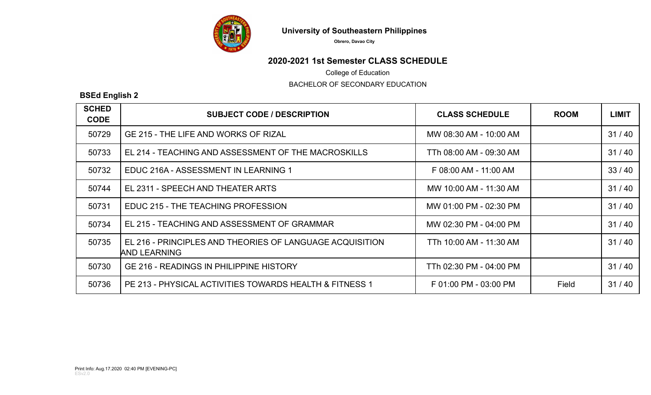

**Obrero, Davao City**

# **2020-2021 1st Semester CLASS SCHEDULE**

College of Education

BACHELOR OF SECONDARY EDUCATION

# **BSEd English 2**

| <b>SCHED</b><br><b>CODE</b> | <b>SUBJECT CODE / DESCRIPTION</b>                                               | <b>CLASS SCHEDULE</b>   | <b>ROOM</b> | <b>LIMIT</b> |
|-----------------------------|---------------------------------------------------------------------------------|-------------------------|-------------|--------------|
| 50729                       | GE 215 - THE LIFE AND WORKS OF RIZAL                                            | MW 08:30 AM - 10:00 AM  |             | 31/40        |
| 50733                       | EL 214 - TEACHING AND ASSESSMENT OF THE MACROSKILLS                             | TTh 08:00 AM - 09:30 AM |             | 31/40        |
| 50732                       | EDUC 216A - ASSESSMENT IN LEARNING 1                                            | F 08:00 AM - 11:00 AM   |             | 33/40        |
| 50744                       | EL 2311 - SPEECH AND THEATER ARTS                                               | MW 10:00 AM - 11:30 AM  |             | 31/40        |
| 50731                       | EDUC 215 - THE TEACHING PROFESSION                                              | MW 01:00 PM - 02:30 PM  |             | 31/40        |
| 50734                       | EL 215 - TEACHING AND ASSESSMENT OF GRAMMAR                                     | MW 02:30 PM - 04:00 PM  |             | 31/40        |
| 50735                       | EL 216 - PRINCIPLES AND THEORIES OF LANGUAGE ACQUISITION<br><b>AND LEARNING</b> | TTh 10:00 AM - 11:30 AM |             | 31/40        |
| 50730                       | <b>GE 216 - READINGS IN PHILIPPINE HISTORY</b>                                  | TTh 02:30 PM - 04:00 PM |             | 31/40        |
| 50736                       | PE 213 - PHYSICAL ACTIVITIES TOWARDS HEALTH & FITNESS 1                         | F 01:00 PM - 03:00 PM   | Field       | 31/40        |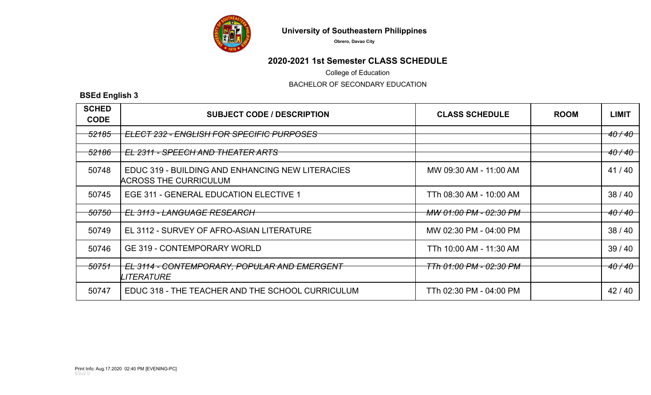

**Obrero, Davao City**

# **2020-2021 1st Semester CLASS SCHEDULE**

College of Education

BACHELOR OF SECONDARY EDUCATION

**BSEd English 3**

| <b>SCHED</b><br><b>CODE</b> | <b>SUBJECT CODE / DESCRIPTION</b>                                         | <b>CLASS SCHEDULE</b>              | <b>ROOM</b> | <b>LIMIT</b>     |
|-----------------------------|---------------------------------------------------------------------------|------------------------------------|-------------|------------------|
| 52185                       | <del>ELECT 232 - ENGLISH FOR SPECIFIC PURPOSES</del>                      |                                    |             | 40/40            |
| <del>52186</del>            | <del>EL 2311 - SPEECH AND THEATER ARTS</del>                              |                                    |             | <del>40/40</del> |
| 50748                       | EDUC 319 - BUILDING AND ENHANCING NEW LITERACIES<br>ACROSS THE CURRICULUM | MW 09:30 AM - 11:00 AM             |             | 41/40            |
| 50745                       | EGE 311 - GENERAL EDUCATION ELECTIVE 1                                    | TTh 08:30 AM - 10:00 AM            |             | 38/40            |
| <del>50750</del>            | <del>EL 3113 - LANGUAGE RESEARCH</del>                                    | MW 01:00 PM - 02:30 PM             |             | 40/40            |
| 50749                       | EL 3112 - SURVEY OF AFRO-ASIAN LITERATURE                                 | MW 02:30 PM - 04:00 PM             |             | 38/40            |
| 50746                       | <b>GE 319 - CONTEMPORARY WORLD</b>                                        | TTh 10:00 AM - 11:30 AM            |             | 39/40            |
| <del>50751</del>            | <u>EL 3114 - CONTEMPORARY, POPULAR AND EMERGENT</u><br>LITERATURE         | <del>TTh 01:00 PM - 02:30 PM</del> |             | 40/40            |
| 50747                       | EDUC 318 - THE TEACHER AND THE SCHOOL CURRICULUM                          | TTh 02:30 PM - 04:00 PM            |             | 42/40            |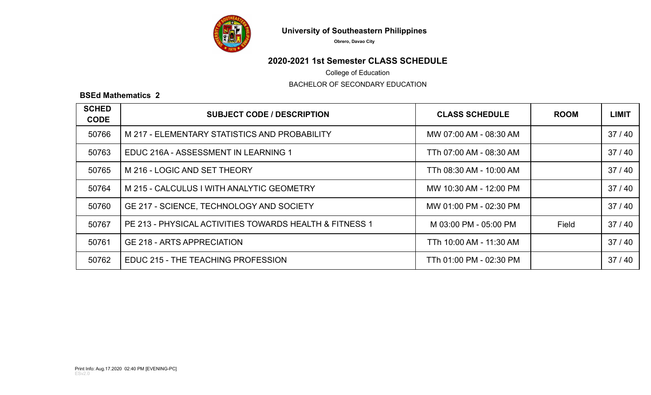

**Obrero, Davao City**

# **2020-2021 1st Semester CLASS SCHEDULE**

College of Education

BACHELOR OF SECONDARY EDUCATION

**BSEd Mathematics 2**

| <b>SCHED</b><br><b>CODE</b> | <b>SUBJECT CODE / DESCRIPTION</b>                       | <b>CLASS SCHEDULE</b>   | <b>ROOM</b> | <b>LIMIT</b> |
|-----------------------------|---------------------------------------------------------|-------------------------|-------------|--------------|
| 50766                       | M 217 - ELEMENTARY STATISTICS AND PROBABILITY           | MW 07:00 AM - 08:30 AM  |             | 37/40        |
| 50763                       | EDUC 216A - ASSESSMENT IN LEARNING 1                    | TTh 07:00 AM - 08:30 AM |             | 37/40        |
| 50765                       | M 216 - LOGIC AND SET THEORY                            | TTh 08:30 AM - 10:00 AM |             | 37/40        |
| 50764                       | M 215 - CALCULUS I WITH ANALYTIC GEOMETRY               | MW 10:30 AM - 12:00 PM  |             | 37/40        |
| 50760                       | GE 217 - SCIENCE, TECHNOLOGY AND SOCIETY                | MW 01:00 PM - 02:30 PM  |             | 37/40        |
| 50767                       | PE 213 - PHYSICAL ACTIVITIES TOWARDS HEALTH & FITNESS 1 | M 03:00 PM - 05:00 PM   | Field       | 37/40        |
| 50761                       | <b>GE 218 - ARTS APPRECIATION</b>                       | TTh 10:00 AM - 11:30 AM |             | 37/40        |
| 50762                       | EDUC 215 - THE TEACHING PROFESSION                      | TTh 01:00 PM - 02:30 PM |             | 37/40        |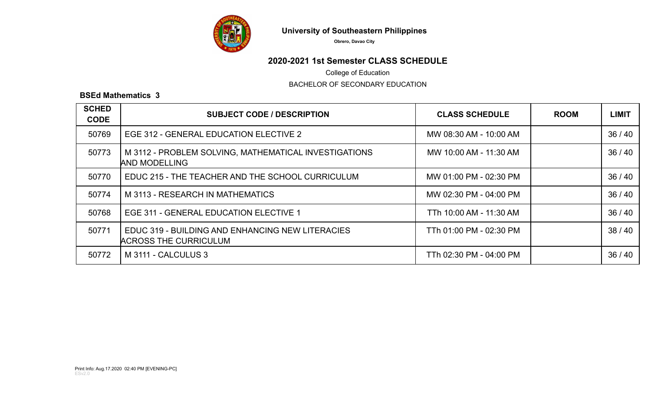

**Obrero, Davao City**

# **2020-2021 1st Semester CLASS SCHEDULE**

College of Education

BACHELOR OF SECONDARY EDUCATION

**BSEd Mathematics 3**

| <b>SCHED</b><br><b>CODE</b> | <b>SUBJECT CODE / DESCRIPTION</b>                                             | <b>CLASS SCHEDULE</b>   | <b>ROOM</b> | <b>LIMIT</b> |
|-----------------------------|-------------------------------------------------------------------------------|-------------------------|-------------|--------------|
| 50769                       | EGE 312 - GENERAL EDUCATION ELECTIVE 2                                        | MW 08:30 AM - 10:00 AM  |             | 36/40        |
| 50773                       | M 3112 - PROBLEM SOLVING, MATHEMATICAL INVESTIGATIONS<br><b>AND MODELLING</b> | MW 10:00 AM - 11:30 AM  |             | 36/40        |
| 50770                       | EDUC 215 - THE TEACHER AND THE SCHOOL CURRICULUM                              | MW 01:00 PM - 02:30 PM  |             | 36/40        |
| 50774                       | M 3113 - RESEARCH IN MATHEMATICS                                              | MW 02:30 PM - 04:00 PM  |             | 36/40        |
| 50768                       | EGE 311 - GENERAL EDUCATION ELECTIVE 1                                        | TTh 10:00 AM - 11:30 AM |             | 36/40        |
| 50771                       | EDUC 319 - BUILDING AND ENHANCING NEW LITERACIES<br>ACROSS THE CURRICULUM     | TTh 01:00 PM - 02:30 PM |             | 38/40        |
| 50772                       | M 3111 - CALCULUS 3                                                           | TTh 02:30 PM - 04:00 PM |             | 36/40        |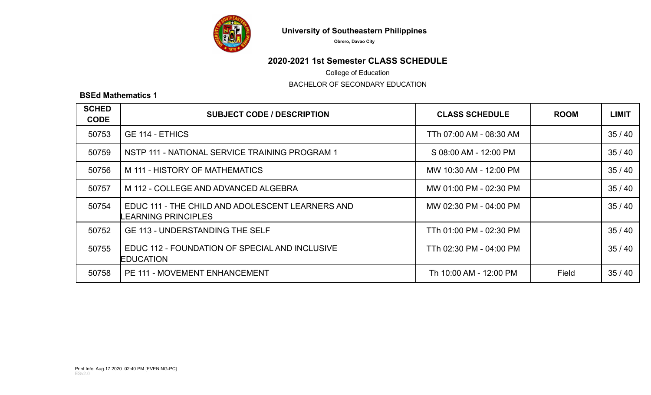

**Obrero, Davao City**

# **2020-2021 1st Semester CLASS SCHEDULE**

College of Education

BACHELOR OF SECONDARY EDUCATION

**BSEd Mathematics 1**

| <b>SCHED</b><br><b>CODE</b> | <b>SUBJECT CODE / DESCRIPTION</b>                                      | <b>CLASS SCHEDULE</b>   | <b>ROOM</b> | <b>LIMIT</b> |
|-----------------------------|------------------------------------------------------------------------|-------------------------|-------------|--------------|
| 50753                       | <b>GE 114 - ETHICS</b>                                                 | TTh 07:00 AM - 08:30 AM |             | 35/40        |
| 50759                       | NSTP 111 - NATIONAL SERVICE TRAINING PROGRAM 1                         | S 08:00 AM - 12:00 PM   |             | 35/40        |
| 50756                       | M 111 - HISTORY OF MATHEMATICS                                         | MW 10:30 AM - 12:00 PM  |             | 35/40        |
| 50757                       | M 112 - COLLEGE AND ADVANCED ALGEBRA                                   | MW 01:00 PM - 02:30 PM  |             | 35/40        |
| 50754                       | EDUC 111 - THE CHILD AND ADOLESCENT LEARNERS AND<br>EARNING PRINCIPLES | MW 02:30 PM - 04:00 PM  |             | 35/40        |
| 50752                       | <b>GE 113 - UNDERSTANDING THE SELF</b>                                 | TTh 01:00 PM - 02:30 PM |             | 35/40        |
| 50755                       | EDUC 112 - FOUNDATION OF SPECIAL AND INCLUSIVE<br><b>EDUCATION</b>     | TTh 02:30 PM - 04:00 PM |             | 35/40        |
| 50758                       | PE 111 - MOVEMENT ENHANCEMENT                                          | Th 10:00 AM - 12:00 PM  | Field       | 35/40        |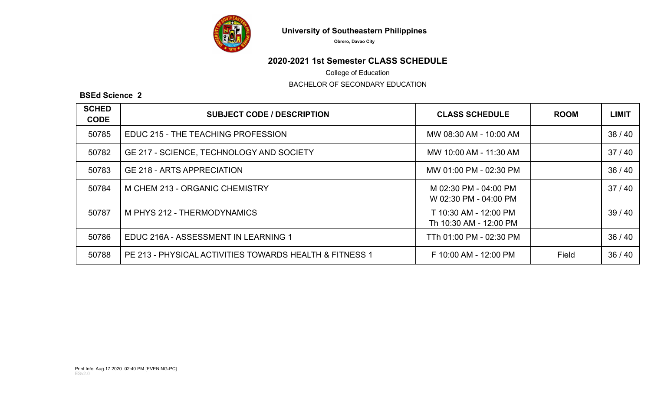

**Obrero, Davao City**

# **2020-2021 1st Semester CLASS SCHEDULE**

College of Education

BACHELOR OF SECONDARY EDUCATION

**BSEd Science 2**

| <b>SCHED</b><br><b>CODE</b> | <b>SUBJECT CODE / DESCRIPTION</b>                       | <b>CLASS SCHEDULE</b>                           | <b>ROOM</b> | <b>LIMIT</b> |
|-----------------------------|---------------------------------------------------------|-------------------------------------------------|-------------|--------------|
| 50785                       | EDUC 215 - THE TEACHING PROFESSION                      | MW 08:30 AM - 10:00 AM                          |             | 38/40        |
| 50782                       | GE 217 - SCIENCE, TECHNOLOGY AND SOCIETY                | MW 10:00 AM - 11:30 AM                          |             | 37/40        |
| 50783                       | <b>GE 218 - ARTS APPRECIATION</b>                       | MW 01:00 PM - 02:30 PM                          |             | 36/40        |
| 50784                       | M CHEM 213 - ORGANIC CHEMISTRY                          | M 02:30 PM - 04:00 PM<br>W 02:30 PM - 04:00 PM  |             | 37/40        |
| 50787                       | M PHYS 212 - THERMODYNAMICS                             | T 10:30 AM - 12:00 PM<br>Th 10:30 AM - 12:00 PM |             | 39/40        |
| 50786                       | EDUC 216A - ASSESSMENT IN LEARNING 1                    | TTh 01:00 PM - 02:30 PM                         |             | 36/40        |
| 50788                       | PE 213 - PHYSICAL ACTIVITIES TOWARDS HEALTH & FITNESS 1 | F 10:00 AM - 12:00 PM                           | Field       | 36/40        |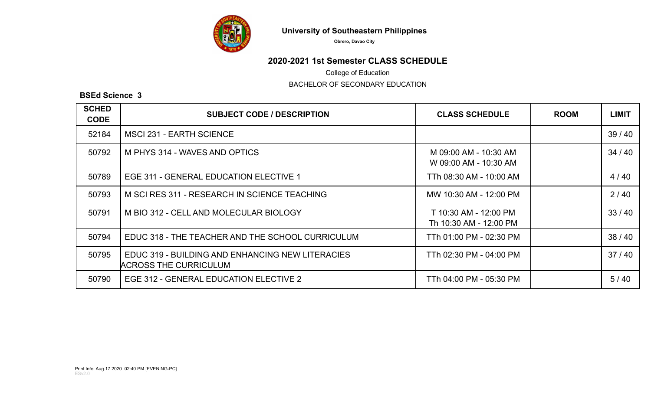

**Obrero, Davao City**

# **2020-2021 1st Semester CLASS SCHEDULE**

College of Education

BACHELOR OF SECONDARY EDUCATION

**BSEd Science 3**

| <b>SCHED</b><br><b>CODE</b> | <b>SUBJECT CODE / DESCRIPTION</b>                                         | <b>CLASS SCHEDULE</b>                           | <b>ROOM</b> | <b>LIMIT</b> |
|-----------------------------|---------------------------------------------------------------------------|-------------------------------------------------|-------------|--------------|
| 52184                       | <b>MSCI 231 - EARTH SCIENCE</b>                                           |                                                 |             | 39/40        |
| 50792                       | M PHYS 314 - WAVES AND OPTICS                                             | M 09:00 AM - 10:30 AM<br>W 09:00 AM - 10:30 AM  |             | 34/40        |
| 50789                       | EGE 311 - GENERAL EDUCATION ELECTIVE 1                                    | TTh 08:30 AM - 10:00 AM                         |             | 4/40         |
| 50793                       | M SCI RES 311 - RESEARCH IN SCIENCE TEACHING                              | MW 10:30 AM - 12:00 PM                          |             | 2/40         |
| 50791                       | M BIO 312 - CELL AND MOLECULAR BIOLOGY                                    | T 10:30 AM - 12:00 PM<br>Th 10:30 AM - 12:00 PM |             | 33/40        |
| 50794                       | EDUC 318 - THE TEACHER AND THE SCHOOL CURRICULUM                          | TTh 01:00 PM - 02:30 PM                         |             | 38/40        |
| 50795                       | EDUC 319 - BUILDING AND ENHANCING NEW LITERACIES<br>ACROSS THE CURRICULUM | TTh 02:30 PM - 04:00 PM                         |             | 37/40        |
| 50790                       | EGE 312 - GENERAL EDUCATION ELECTIVE 2                                    | TTh 04:00 PM - 05:30 PM                         |             | 5/40         |